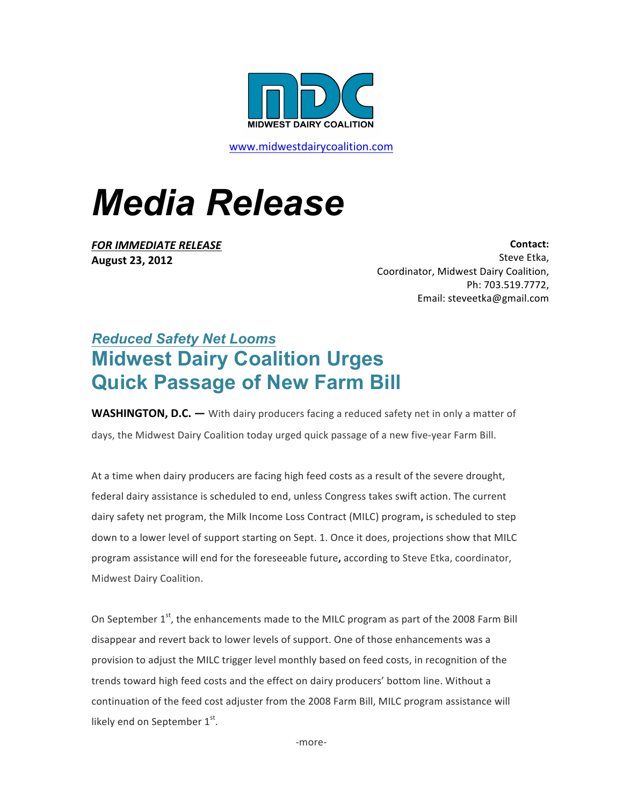

www.midwestdairycoalition.com

## *Media Release*

**FOR IMMEDIATE RELEASE August 23, 2012**

**Contact:**  Steve Etka, Coordinator, Midwest Dairy Coalition, Ph: 703.519.7772, Email: steveetka@gmail.com

## *Reduced Safety Net Looms* **Midwest Dairy Coalition Urges Quick Passage of New Farm Bill**

**WASHINGTON, D.C.** — With dairy producers facing a reduced safety net in only a matter of days, the Midwest Dairy Coalition today urged quick passage of a new five-year Farm Bill.

At a time when dairy producers are facing high feed costs as a result of the severe drought, federal dairy assistance is scheduled to end, unless Congress takes swift action. The current dairy safety net program, the Milk Income Loss Contract (MILC) program, is scheduled to step down to a lower level of support starting on Sept. 1. Once it does, projections show that MILC program assistance will end for the foreseeable future, according to Steve Etka, coordinator, Midwest Dairy Coalition.

On September  $1<sup>st</sup>$ , the enhancements made to the MILC program as part of the 2008 Farm Bill disappear and revert back to lower levels of support. One of those enhancements was a provision to adjust the MILC trigger level monthly based on feed costs, in recognition of the trends toward high feed costs and the effect on dairy producers' bottom line. Without a continuation of the feed cost adjuster from the 2008 Farm Bill, MILC program assistance will likely end on September  $1<sup>st</sup>$ .

-more-